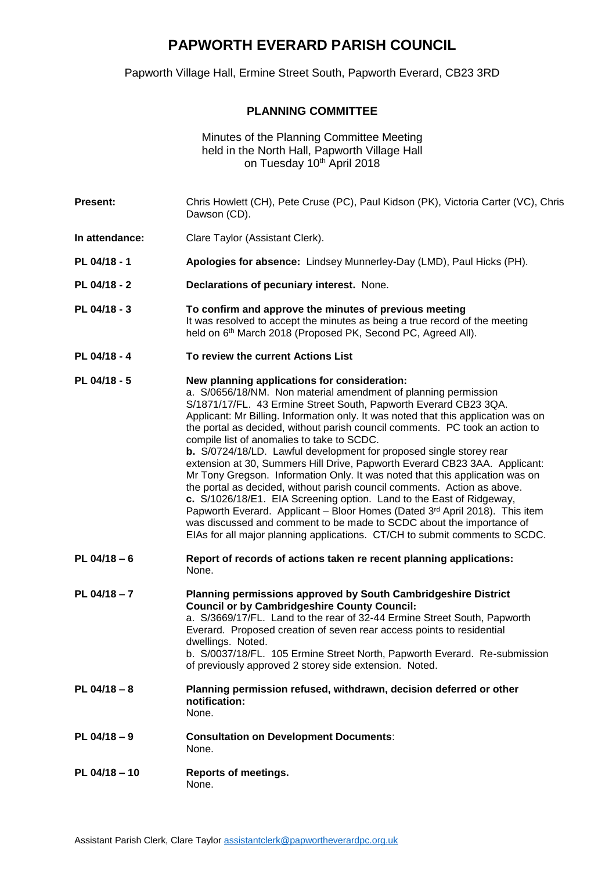## **PAPWORTH EVERARD PARISH COUNCIL**

Papworth Village Hall, Ermine Street South, Papworth Everard, CB23 3RD

## **PLANNING COMMITTEE**

Minutes of the Planning Committee Meeting held in the North Hall, Papworth Village Hall on Tuesday 10<sup>th</sup> April 2018

- **Present:** Chris Howlett (CH), Pete Cruse (PC), Paul Kidson (PK), Victoria Carter (VC), Chris Dawson (CD).
- **In attendance:** Clare Taylor (Assistant Clerk).
- **PL 04/18 - 1 Apologies for absence:** Lindsey Munnerley-Day (LMD), Paul Hicks (PH).
- **PL 04/18 - 2 Declarations of pecuniary interest.** None.
- **PL 04/18 - 3 To confirm and approve the minutes of previous meeting** It was resolved to accept the minutes as being a true record of the meeting held on 6<sup>th</sup> March 2018 (Proposed PK, Second PC, Agreed All).
- **PL 04/18 - 4 To review the current Actions List**

## **PL 04/18 - 5 New planning applications for consideration:**

a. S/0656/18/NM. Non material amendment of planning permission S/1871/17/FL. 43 Ermine Street South, Papworth Everard CB23 3QA. Applicant: Mr Billing. Information only. It was noted that this application was on the portal as decided, without parish council comments. PC took an action to compile list of anomalies to take to SCDC. **b.** S/0724/18/LD. Lawful development for proposed single storey rear

extension at 30, Summers Hill Drive, Papworth Everard CB23 3AA. Applicant: Mr Tony Gregson. Information Only. It was noted that this application was on the portal as decided, without parish council comments. Action as above. **c.** S/1026/18/E1. EIA Screening option. Land to the East of Ridgeway, Papworth Everard. Applicant – Bloor Homes (Dated  $3<sup>rd</sup>$  April 2018). This item was discussed and comment to be made to SCDC about the importance of EIAs for all major planning applications. CT/CH to submit comments to SCDC.

- **PL 04/18 – 6 Report of records of actions taken re recent planning applications:** None.
- **PL 04/18 – 7 Planning permissions approved by South Cambridgeshire District Council or by Cambridgeshire County Council:** a. S/3669/17/FL. Land to the rear of 32-44 Ermine Street South, Papworth Everard. Proposed creation of seven rear access points to residential dwellings. Noted. b. S/0037/18/FL. 105 Ermine Street North, Papworth Everard. Re-submission of previously approved 2 storey side extension. Noted. **PL 04/18 – 8 Planning permission refused, withdrawn, decision deferred or other notification:** None. **PL 04/18 – 9 Consultation on Development Documents**:
- None.
- **PL 04/18 – 10 Reports of meetings.** None.